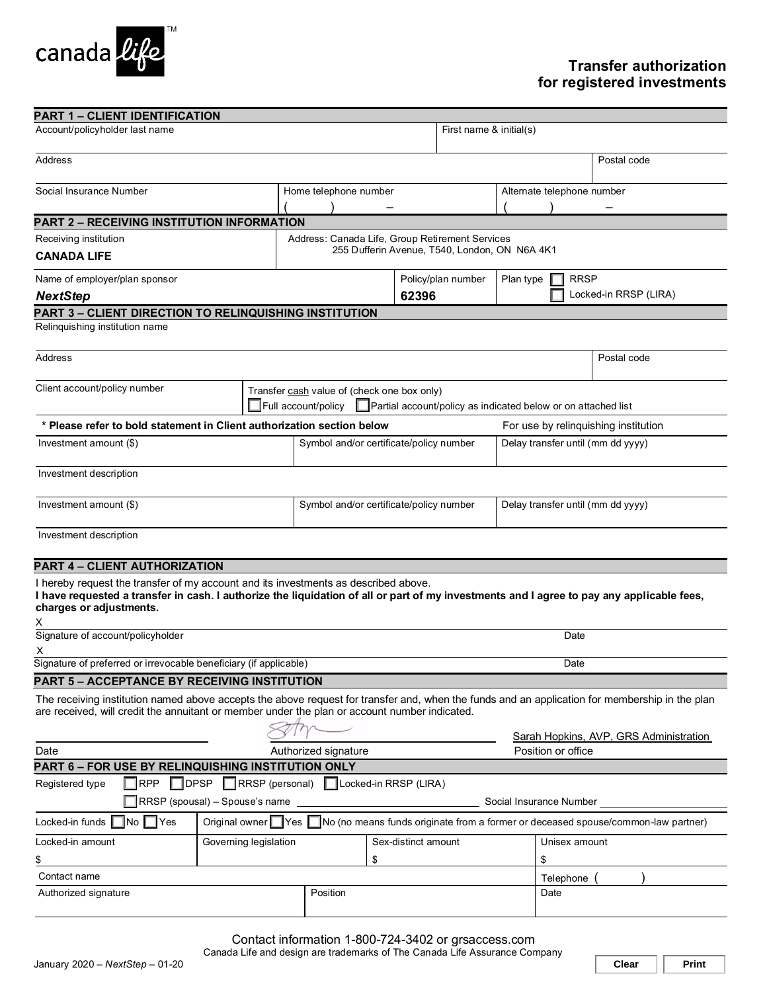

# **Transfer authorization for registered investments**

| <b>PART 1 - CLIENT IDENTIFICATION</b>                                                                                                                                                                                                                       |                                                                                                                                  |                                         |                     |                                        |                                   |               |  |
|-------------------------------------------------------------------------------------------------------------------------------------------------------------------------------------------------------------------------------------------------------------|----------------------------------------------------------------------------------------------------------------------------------|-----------------------------------------|---------------------|----------------------------------------|-----------------------------------|---------------|--|
| Account/policyholder last name                                                                                                                                                                                                                              |                                                                                                                                  |                                         |                     | First name & initial(s)                |                                   |               |  |
| <b>Address</b>                                                                                                                                                                                                                                              |                                                                                                                                  |                                         |                     |                                        |                                   | Postal code   |  |
| Social Insurance Number                                                                                                                                                                                                                                     |                                                                                                                                  | Home telephone number                   |                     |                                        | Alternate telephone number        |               |  |
|                                                                                                                                                                                                                                                             |                                                                                                                                  |                                         |                     |                                        |                                   |               |  |
| PART 2 - RECEIVING INSTITUTION INFORMATION                                                                                                                                                                                                                  |                                                                                                                                  |                                         |                     |                                        |                                   |               |  |
| Receiving institution<br>Address: Canada Life, Group Retirement Services                                                                                                                                                                                    |                                                                                                                                  |                                         |                     |                                        |                                   |               |  |
| <b>CANADA LIFE</b>                                                                                                                                                                                                                                          | 255 Dufferin Avenue, T540, London, ON N6A 4K1                                                                                    |                                         |                     |                                        |                                   |               |  |
| Name of employer/plan sponsor                                                                                                                                                                                                                               |                                                                                                                                  | Policy/plan number                      |                     |                                        | <b>RRSP</b><br>Plan type          |               |  |
| <b>NextStep</b>                                                                                                                                                                                                                                             |                                                                                                                                  | 62396                                   |                     |                                        | Locked-in RRSP (LIRA)             |               |  |
| PART 3 – CLIENT DIRECTION TO RELINQUISHING INSTITUTION                                                                                                                                                                                                      |                                                                                                                                  |                                         |                     |                                        |                                   |               |  |
| Relinquishing institution name                                                                                                                                                                                                                              |                                                                                                                                  |                                         |                     |                                        |                                   |               |  |
| Address                                                                                                                                                                                                                                                     |                                                                                                                                  |                                         |                     |                                        |                                   | Postal code   |  |
| Client account/policy number                                                                                                                                                                                                                                | Transfer cash value of (check one box only)<br>Full account/policy Partial account/policy as indicated below or on attached list |                                         |                     |                                        |                                   |               |  |
| * Please refer to bold statement in Client authorization section below<br>For use by relinguishing institution                                                                                                                                              |                                                                                                                                  |                                         |                     |                                        |                                   |               |  |
| Investment amount (\$)                                                                                                                                                                                                                                      |                                                                                                                                  | Symbol and/or certificate/policy number |                     |                                        | Delay transfer until (mm dd yyyy) |               |  |
|                                                                                                                                                                                                                                                             |                                                                                                                                  |                                         |                     |                                        |                                   |               |  |
| Investment description                                                                                                                                                                                                                                      |                                                                                                                                  |                                         |                     |                                        |                                   |               |  |
| Investment amount (\$)                                                                                                                                                                                                                                      |                                                                                                                                  | Symbol and/or certificate/policy number |                     |                                        | Delay transfer until (mm dd yyyy) |               |  |
| Investment description                                                                                                                                                                                                                                      |                                                                                                                                  |                                         |                     |                                        |                                   |               |  |
| <b>PART 4 - CLIENT AUTHORIZATION</b>                                                                                                                                                                                                                        |                                                                                                                                  |                                         |                     |                                        |                                   |               |  |
| I hereby request the transfer of my account and its investments as described above.<br>I have requested a transfer in cash. I authorize the liquidation of all or part of my investments and I agree to pay any applicable fees,<br>charges or adjustments. |                                                                                                                                  |                                         |                     |                                        |                                   |               |  |
| Signature of account/policyholder<br>Date<br>х                                                                                                                                                                                                              |                                                                                                                                  |                                         |                     |                                        |                                   |               |  |
| Signature of preferred or irrevocable beneficiary (if applicable)<br>Date                                                                                                                                                                                   |                                                                                                                                  |                                         |                     |                                        |                                   |               |  |
| <b>PART 5 - ACCEPTANCE BY RECEIVING INSTITUTION</b>                                                                                                                                                                                                         |                                                                                                                                  |                                         |                     |                                        |                                   |               |  |
| The receiving institution named above accepts the above request for transfer and, when the funds and an application for membership in the plan<br>are received, will credit the annuitant or member under the plan or account number indicated.             |                                                                                                                                  |                                         |                     |                                        |                                   |               |  |
|                                                                                                                                                                                                                                                             |                                                                                                                                  |                                         |                     | Sarah Hopkins, AVP, GRS Administration |                                   |               |  |
| Date<br>Authorized signature                                                                                                                                                                                                                                |                                                                                                                                  |                                         |                     |                                        | Position or office                |               |  |
| PART 6 - FOR USE BY RELINQUISHING INSTITUTION ONLY                                                                                                                                                                                                          |                                                                                                                                  |                                         |                     |                                        |                                   |               |  |
| RRSP (personal) CLocked-in RRSP (LIRA)<br><b>RPP</b><br>$\Box$ DPSP<br>Registered type<br>$\Box$ RRSP (spousal) – Spouse's name<br>Social Insurance Number                                                                                                  |                                                                                                                                  |                                         |                     |                                        |                                   |               |  |
| Original owner Yes No (no means funds originate from a former or deceased spouse/common-law partner)<br>Locked-in funds   No Yes                                                                                                                            |                                                                                                                                  |                                         |                     |                                        |                                   |               |  |
| Locked-in amount                                                                                                                                                                                                                                            | Governing legislation                                                                                                            |                                         | Sex-distinct amount |                                        |                                   | Unisex amount |  |
|                                                                                                                                                                                                                                                             |                                                                                                                                  | \$                                      |                     | \$                                     |                                   |               |  |
| \$<br>Contact name                                                                                                                                                                                                                                          |                                                                                                                                  |                                         |                     |                                        | Telephone                         |               |  |
| Authorized signature                                                                                                                                                                                                                                        |                                                                                                                                  | Position                                |                     |                                        | Date                              |               |  |
|                                                                                                                                                                                                                                                             |                                                                                                                                  |                                         |                     |                                        |                                   |               |  |

Contact information 1-800-724-3402 or grsaccess.com

Canada Life and design are trademarks of The Canada Life Assurance Company